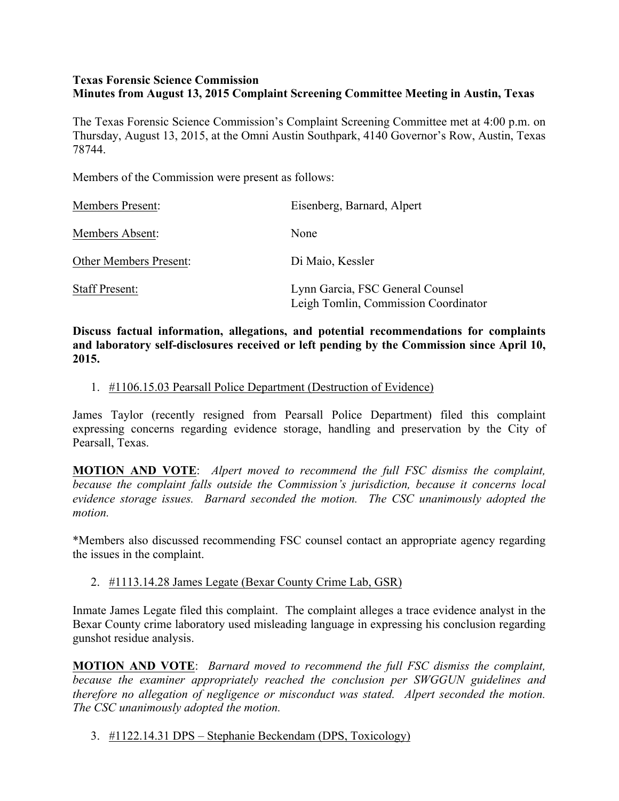### **Texas Forensic Science Commission Minutes from August 13, 2015 Complaint Screening Committee Meeting in Austin, Texas**

The Texas Forensic Science Commission's Complaint Screening Committee met at 4:00 p.m. on Thursday, August 13, 2015, at the Omni Austin Southpark, 4140 Governor's Row, Austin, Texas 78744.

Members of the Commission were present as follows:

| <b>Members Present:</b>       | Eisenberg, Barnard, Alpert                                               |
|-------------------------------|--------------------------------------------------------------------------|
| Members Absent:               | None                                                                     |
| <b>Other Members Present:</b> | Di Maio, Kessler                                                         |
| <b>Staff Present:</b>         | Lynn Garcia, FSC General Counsel<br>Leigh Tomlin, Commission Coordinator |

**Discuss factual information, allegations, and potential recommendations for complaints and laboratory self-disclosures received or left pending by the Commission since April 10, 2015.**

1. #1106.15.03 Pearsall Police Department (Destruction of Evidence)

James Taylor (recently resigned from Pearsall Police Department) filed this complaint expressing concerns regarding evidence storage, handling and preservation by the City of Pearsall, Texas.

**MOTION AND VOTE**: *Alpert moved to recommend the full FSC dismiss the complaint, because the complaint falls outside the Commission's jurisdiction, because it concerns local evidence storage issues. Barnard seconded the motion. The CSC unanimously adopted the motion.*

\*Members also discussed recommending FSC counsel contact an appropriate agency regarding the issues in the complaint.

2. #1113.14.28 James Legate (Bexar County Crime Lab, GSR)

Inmate James Legate filed this complaint. The complaint alleges a trace evidence analyst in the Bexar County crime laboratory used misleading language in expressing his conclusion regarding gunshot residue analysis.

**MOTION AND VOTE**: *Barnard moved to recommend the full FSC dismiss the complaint, because the examiner appropriately reached the conclusion per SWGGUN guidelines and therefore no allegation of negligence or misconduct was stated. Alpert seconded the motion. The CSC unanimously adopted the motion.*

3. #1122.14.31 DPS – Stephanie Beckendam (DPS, Toxicology)